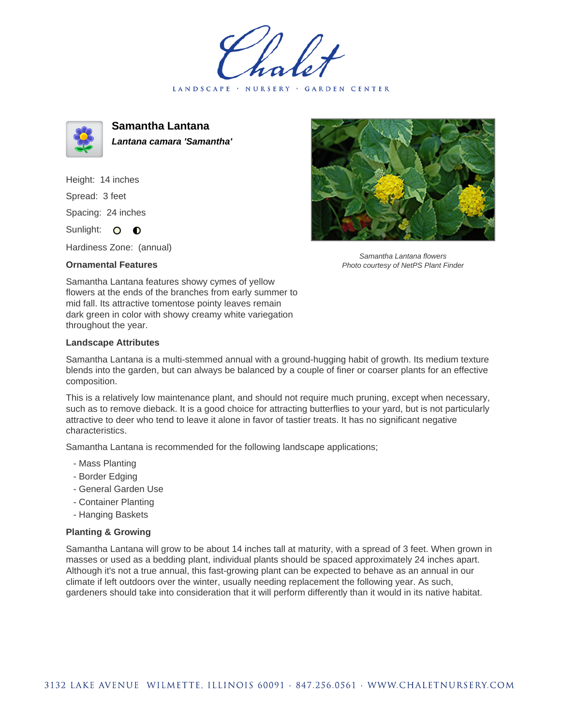LANDSCAPE · NURSERY · GARDEN CENTER



**Samantha Lantana Lantana camara 'Samantha'**

Height: 14 inches Spread: 3 feet Spacing: 24 inches Sunlight: O **O** 

Hardiness Zone: (annual)

## **Ornamental Features**



Samantha Lantana flowers Photo courtesy of NetPS Plant Finder

Samantha Lantana features showy cymes of yellow flowers at the ends of the branches from early summer to mid fall. Its attractive tomentose pointy leaves remain dark green in color with showy creamy white variegation throughout the year.

## **Landscape Attributes**

Samantha Lantana is a multi-stemmed annual with a ground-hugging habit of growth. Its medium texture blends into the garden, but can always be balanced by a couple of finer or coarser plants for an effective composition.

This is a relatively low maintenance plant, and should not require much pruning, except when necessary, such as to remove dieback. It is a good choice for attracting butterflies to your yard, but is not particularly attractive to deer who tend to leave it alone in favor of tastier treats. It has no significant negative characteristics.

Samantha Lantana is recommended for the following landscape applications;

- Mass Planting
- Border Edging
- General Garden Use
- Container Planting
- Hanging Baskets

## **Planting & Growing**

Samantha Lantana will grow to be about 14 inches tall at maturity, with a spread of 3 feet. When grown in masses or used as a bedding plant, individual plants should be spaced approximately 24 inches apart. Although it's not a true annual, this fast-growing plant can be expected to behave as an annual in our climate if left outdoors over the winter, usually needing replacement the following year. As such, gardeners should take into consideration that it will perform differently than it would in its native habitat.